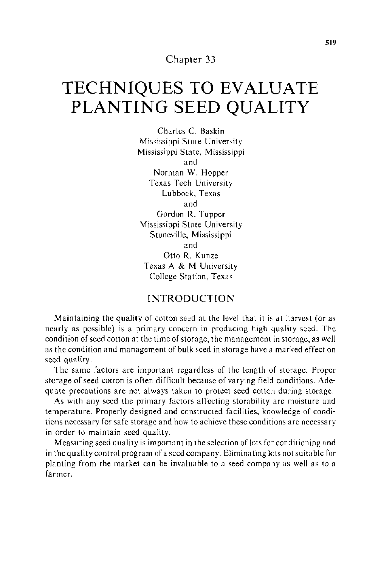Chapter 33

# **TECHNIQUES TO EVALUATE PLANTING SEED QUALITY**

Charles C. Baskin Mississippi State University Mississippi State, Mississippi and Norman W. Hopper Texas Tech University Lubbock, Texas and Gordon R. Tupper Mississippi State University Stoneville, Mississippi and Otto R. Kunze Texas A & M University College Station, Texas

## INTRODUCTION

Maintaining the quality of cotton seed at the level that it is at harvest (or as nearly as possible) is a primary concern in producing high quality seed. The condition of seed cotton at the time of storage, the management in storage, as well as the condition and management of bulk seed in storage have a marked effect on seed quality.

The same factors are important regardless of the length of storage. Proper storage of seed cotton is often difficult because of varying field conditions. Adequate precautions are not always taken to protect seed cotton during storage.

As with any seed the primary factors affecting storability are moisture and temperature. Properly designed and constructed facilities, knowledge of conditions necessary for safe storage and how to achieve these conditions are necessary in order to maintain seed quality.

Measuring seed quality is important in the selection of lots for conditioning and in the quality control program of a seed company. Eliminating lots not suitable for planting from the market can be invaluable to a seed company as well as to a farmer.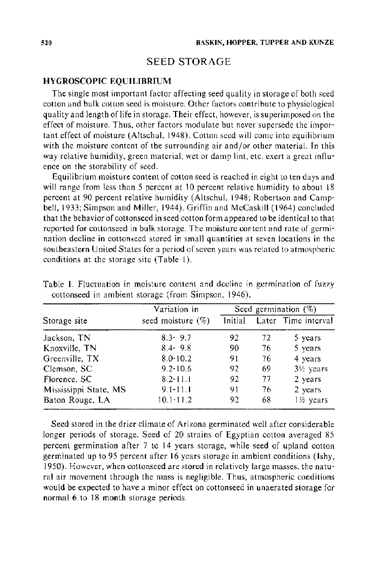## SEED STORAGE

#### **HYGROSCOPIC EQUILIBRIUM**

The single most important factor affecting seed quality in storage of both seed cotton and bulk cotton seed is moisture. Other factors contribute to physiological quality and length of life in storage. Their effect, however, is superimposed on the effect of moisture. Thus, other factors modulate but never supersede the important effect of moisture (Altschul, 1948). Cotton seed will come into equilibrium with the moisture content of the surrounding air and/or other material. In this way relative humidity, green material, wet or damp lint, etc. exert a great influence on the storability of seed.

Equilibrium moisture content of cotton seed is reached in eight to ten days and will range from less than 5 percent at  $10$  percent relative humidity to about  $18$ percent at 90 percent relative humidity (Altschul, 1948; Robertson and Campbell, 1933; Simpson and Miller, 1944). Griffin and McCaskill (1964) concluded that the behavior of cottonseed in seed cotton form appeared to be identical to that reported for cottonseed in bulk storage. The moisture content and rate of germination decline in cottonseed stored in small quantities at seven locations in the southeastern United States for a period of seven years was related to atmospheric conditions at the storage site (Table I).

|                       | Variation in         |         | Seed germination $(\%)$ |                        |  |  |
|-----------------------|----------------------|---------|-------------------------|------------------------|--|--|
| Storage site          | seed moisture $(\%)$ | Initial |                         | Later Time interval    |  |  |
| Jackson, TN           | $8.3 - 9.7$          | 92.     | 72.                     | 5 years                |  |  |
| Knoxville, TN         | $8.4 - 9.8$          | 90      | 76                      | 5 years                |  |  |
| Greenville, TX        | $8.0 - 10.2$         | 91      | 76                      | 4 years                |  |  |
| Clemson, SC           | $9.2 - 10.6$         | 92      | 69                      | 3 <sup>1/2</sup> years |  |  |
| Florence, SC          | $8.2 - 11.1$         | 92      | 77                      | 2 years                |  |  |
| Mississippi State, MS | $9.1 - 11.1$         | 91      | 76                      | 2 years                |  |  |
| Baton Rouge, LA       | $10.1 - 11.2$        | 92.     | 68                      | 1½ years               |  |  |

Table 1. Fluctuation in moisture content and decline in germination of fuzzy cottonseed in ambient storage (from Simpson, 1946).

Seed stored in the drier climate of Arizona germinated well after considerable longer periods of storage. Seed of 20 strains of Egyptian cotton averaged 85 percent germination after 7 to 14 years storage, while seed of upland cotton germinated up to 95 percent after 16 years storage in ambient conditions (lshy, 1950). However, when cottonseed are stored in relatively large masses, the natural air movement through the mass is negligible. Thus, atmospheric conditions would be expected to have a minor effect on cottonseed in unaerated storage for normal 6 to 18 month storage periods.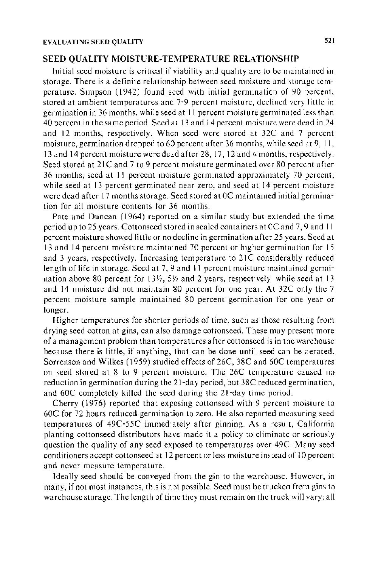#### **SEED QUALITY MOISTURE-TEMPERATURE RELA TIONSHlP**

Initial seed moisture is critical if viability and quahty arc to be maintained in storage. There is a definite relationship between seed moisture and storage temperature. Simpson ( 1942) found seed with initial germination of 90 percent, stored at ambient temperatures and 7-9 percent moisture, declined very little in germination in 36 months, while seed at II percent moisture germinated less than 40 percent in the same period. Seed at 13 and 14 percent moisture were dead in 24 and 12 months, respectively. When seed were stored at 32C and 7 percent moisture, germination dropped to 60 percent after 36 months, while seed at 9, II, 13 and 14 percent moisture were dead after 28, 17, 12 and 4 months, respectively. Seed stored at 21C and 7 to 9 percent moisture germinated over 80 percent after 36 months; seed at II percent moisture germinated approximately 70 percent; while seed at 13 percent germinated near zero, and seed at 14 percent moisture were dead after 17 months storage. Seed stored at OC maintamed initial germination for all moisture contents for 36 months.

Pate and Duncan ( 1964) reported on a similar study but extended the time period up to 25 years. Cottonseed stored in sealed containers at OC and 7, 9 and II percent moisture showed little or no decline in germination after 25 years. Seed at 13 and 14 percent moisture maintained 70 percent or higher germination for 15 and 3 years, respectively. Increasing temperature to 21C considerably reduced length of life in storage. Seed at 7, 9 and II percent moisture maintained germination above 80 percent for  $13\frac{1}{2}$ , 51/2 and 2 years, respectively, while seed at 13 and 14 moisture did not maintain 80 percent for one year. At 32C only the 7 percent moisture sample maintained 80 percent germination for one year or longer.

Higher temperatures for shorter periods of time, such as those resulting from drying seed cotton at gins, can also damage cottonseed. These may present more of a management problem than temperatures after cottonseed is in the warehouse because there is little, if anything, that can be done until seed can be aerated. Sorrenson and Wilkes ( 1959) studied effects of 26C, 38C and 60C temperatures on seed stored at 8 to 9 percent moisture. The 26C temperature caused no reduction in germination during the 21-day period, but 38C reduced germination, and 60C completely killed the seed during the 21-day time period.

Cherry ( 1976) reported that exposing cottonseed with 9 percent moisture to 60C for 72 hours reduced germination to zero. He also reported measuring seed temperatures of 49C-55C immediately after ginning. As a result, California planting cottonseed distributors have made it a policy to eliminate or seriously question the quality of any seed exposed to temperatures over 49C. Many seed conditioners accept cottonseed at 12 percent or less moisture instead of l 0 percent and never measure temperature.

Ideally seed should be conveyed from the gin to the warehouse. However, in many, if not most instances, this is not possible. Seed must be trucked from gins to warehouse storage. The length of time they must remain on the truck will vary; all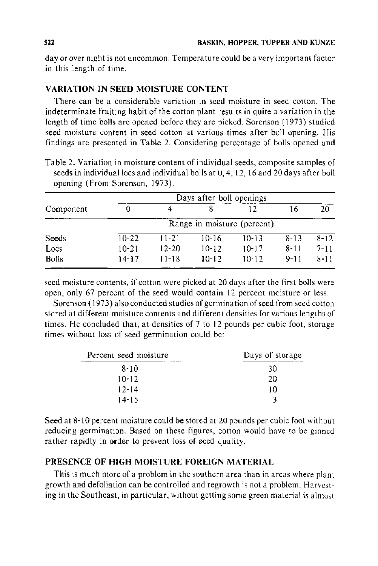day or over night is not uncommon. Temperature could be a very important factor in this length of time.

## VARIATION IN SEED MOISTURE CONTENT

There can be a considerable variation in seed moisture in seed cotton. The indeterminate fruiting habit of the cotton plant results in quite a variation in the length of time bolls are opened before they are picked. Sorenson (1973) studied seed moisture content in seed cotton at various times after boll opening. His findings are presented in Table 2. Considering percentage of bolls opened and

Table 2. Variation in moisture content of individual seeds, composite samples of seeds in individual locs and individual bolls at 0, 4, 12, 16 and 20 days after boll opening (From Sorenson, 1973).

|              | Days after boll openings    |           |           |           |          |          |
|--------------|-----------------------------|-----------|-----------|-----------|----------|----------|
| Component    |                             |           |           | 12        | 16       | 20       |
|              | Range in moisture (percent) |           |           |           |          |          |
| <b>Seeds</b> | $10-22$                     | $11 - 21$ | $10-16$   | $10 - 13$ | $8 - 13$ | $8 - 12$ |
| Locs         | 10-21                       | $12 - 20$ | $10 - 12$ | $10 - 17$ | $8 - 11$ | $7 - 11$ |
| <b>Bolls</b> | $14 - 17$                   | $11 - 18$ | 10-12     | $10-12$   | $9 - 11$ | $8 - 11$ |

seed moisture contents, if cotton were picked at 20 days after the first bolls were open, only 67 percent of the seed would contain 12 percent moisture or less.

Sorenson (1973) also conducted studies of germination of seed from seed cotton stored at different moisture contents and different densities for various lengths of times. He concluded that, at densities of 7 to 12 pounds per cubic foot, storage times without loss of seed germination could be:

| Percent seed moisture | Days of storage |  |  |
|-----------------------|-----------------|--|--|
| 8-10                  | 30              |  |  |
| $10 - 12$             | 20              |  |  |
| $12 - 14$             | 10              |  |  |
| $14 - 15$             | 2               |  |  |

Seed at 8-10 percent moisture could be stored at 20 pounds per cubic foot without reducing germination. Based on these figures, cotton would have to be ginned rather rapidly in order to prevent loss of seed quality.

## PRESENCE OF HIGH MOISTURE FOREIGN MATERIAL

This is much more of a problem in the southern area than in areas where plant growth and defoliation can be controlled and regrowth is not a problem. Harvesting in the Southeast, in particular, without getting some green material is almost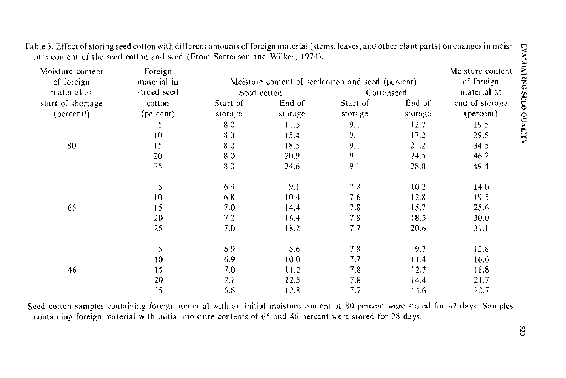| Moisture content<br>of foreign | Foreign<br>material in |             |                   | Moisture content of seedcotton and seed (percent) |             | Moisture content<br>of foreign |
|--------------------------------|------------------------|-------------|-------------------|---------------------------------------------------|-------------|--------------------------------|
| material at                    | stored seed            | Seed cotton |                   | Cottonseed                                        | material at |                                |
| start of shortage              | cotton                 | Start of    | End of            | Start of                                          | End of      | end of storage                 |
| (percent)                      | (percent)              | storage     | storage           | storage                                           | storage     | (percent)                      |
|                                | 5                      | 8.0         | 11.5              | 9.1                                               | 12.7        | 19.5                           |
|                                | 10                     | 8.0         | 15.4              | 9.1                                               | 17.2        | 29.5                           |
| 80                             | 15                     | 8.0         | 18.5              | 9.1                                               | 21.2        | 34.5                           |
|                                | 20                     | 8.0         | 20.9              | 9 <sub>1</sub>                                    | 24.5        | 46.2                           |
|                                | 25                     | 8.0         | 24.6              | 9.1                                               | 28.0        | 49.4                           |
|                                | 5                      | 6.9         | 9,1               | 7.8                                               | 10.2        | 14.0                           |
|                                | 10                     | 6.8         | 10.4              | 7.6                                               | 12.8        | 19.5                           |
| 65                             | 15                     | 7.0         | 14,4              | 7.8                                               | 15.7        | 25.6                           |
|                                | 20                     | 7.2         | 16.4              | 7.8                                               | 18.5        | 30.0                           |
|                                | 25                     | 7.0         | 18.2              | 7.7                                               | 20.6        | 31.L                           |
|                                | $\mathfrak s$          | 6.9         | 8.6               | 78                                                | 9.7         | 13.8                           |
|                                | 10                     | 6.9         | 10.0 <sub>1</sub> | 7.7                                               | 11.4        | 16.6                           |
| 46                             | 15                     | 7.0         | 11.2              | 7.8                                               | 12.7        | 18.8                           |
|                                | 20                     | 7.1         | 12.5              | 7.8                                               | 14.4        | 21.7                           |
|                                | 25                     | 6.8         | 12.8              | 7.7                                               | 14.6        | 22.7                           |

Table 3. Effect of storing seed cotton with different amounts of foreign material (stems, leaves, and other plant parts) on changes in moisture content of the seed cotton and seed (From Sorrenson and Wilkes, 1974).

1 Seed cotton samples containing foreign material with an initial moisture content of 80 percent were stored for 42 days. Samples containing foreign material with initial moisture contents of 65 and 46 percent were stored for 28 days.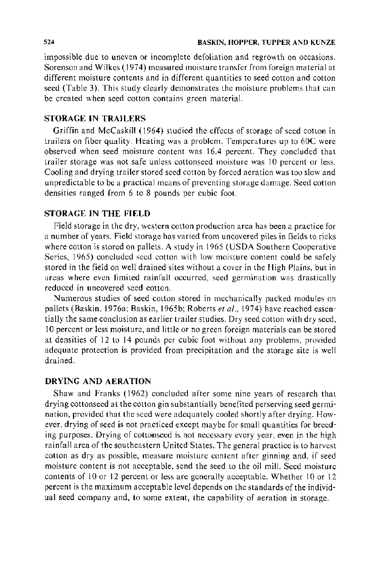impossible due to uneven or incomplete defoliation and regrowth on occasions. Sorenson and Wilkes ( 1974) measured moisture transfer from foreign material at different moisture contents and in different quantities to seed cotton and cotton seed (Table 3). This study clearly demonstrates the moisture problems that can be created when seed cotton contains green material.

## STORAGE IN TRAILERS

Griffin and McCaskill ( 1964) studied the effects of storage of seed cotton in trailers on fiber quality. Heating was a problem. Temperatures up to 60C were observed when seed moisture content was 16.4 percent. They concluded that trailer storage was not safe unless cottonseed moisture was 10 percent or less. Cooling and drying trailer stored seed cotton by forced aeration was too slow and unpredictable to be a practical means of preventing storage damage. Seed cotton densities ranged from 6 to 8 pounds per cubic foot.

## STORAGE IN THE FIELD

Field storage in the dry, western cotton production area has been a practice for a number of years. Field storage has varied from uncovered piles in fields to ricks where cotton is stored on pallets. A study in 1965 (USDA Southern Cooperative Series, 1965) concluded seed cotton with low moisture content could be safely stored in the field on well drained sites without a cover in the High Plains, but in areas where even limited rainfall occurred, seed germination was drastically reduced in uncovered seed cotton.

Numerous studies of seed cotton stored in mechanically packed modules on pallets (Baskin, 1976a; Baskin, 1965b; Roberts *eta!.,* 1974) have reached essentially the same conclusion as earlier trailer studies. Dry seed cotton with dry seed, I 0 percent or less moisture, and little or no green foreign materials can be stored at densities of 12 to 14 pounds per cubic foot without any problems, provided adequate protection is provided from precipitation and the storage site is well drained.

## DRYING AND AERATION

Shaw and Franks (1962) concluded after some nine years of research that drying cottonseed at the cotton gin substantially benefited perserving seed germination, provided that the seed were adequately cooled shortly after drying. However, drying of seed is not practiced except maybe for small quantities for breeding purposes. Drying of cottonseed is not necessary every year, even in the high rainfall area of the southeastern United States. The general practice is to harvest cotton as dry as possible, measure moisture content after ginning and, if seed moisture content is not acceptable, send the seed to the oil mill. Seed moisture contents of 10 or 12 percent or less are generally acceptable. Whether 10 or 12 percent is the maximum acceptable level depends on the standards of the individual seed company and, to some extent, the capability of aeration in storage.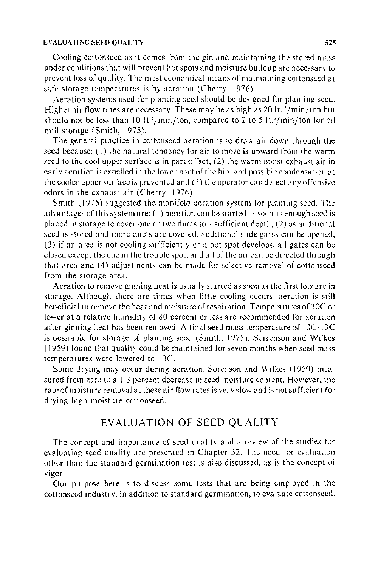#### EVALUATING SEED QUALITY **525** S25

Cooling cottonseed as it comes from the gin and maintaining the stored mass under conditions that will prevent hot spots and moisture buildup are necessary to prevent loss of quality. The most economical means of maintaining cottonseed at safe storage temperatures is by aeration (Cherry, 1976).

Aeration systems used for planting seed should be designed for planting seed. Higher air flow rates are necessary. These may be as high as 20 ft.  $\frac{3}{\text{min}}$ /ton but should not be less than 10 ft.<sup>3</sup>/min/ton, compared to 2 to 5 ft.<sup>3</sup>/min/ton for oil mill storage (Smith, 1975).

The general practice in cottonseed aeration is to draw air down through the seed because: (I) the natural tendency for air to move is upward from the warm seed to the cool upper surface is in part offset. (2) the warm moist exhaust air in early aeration is expelled in the lower part of the bin. and possible condensation at the cooler upper surface is prevented and (3) the operator can detect any offensive odors in the exhaust air (Cherry, 1976).

Smith (1975) suggested the manifold aeration system for planting seed. The advantages of this system are: (I) aeration can be started as soon as enough seed is placed in storage to cover one or two ducts to a sufficient depth, (2) as additional seed is stored and more ducts are covered, additional slide gates can be opened, (3) if an area is not cooling sufficiently or a hot spot develops, all gates can be closed except the one in the trouble spot. and all of the air can be directed through that area and (4) adjustments can be made for selective removal of cottonseed from the storage area.

Aeration to remove ginning heat is usually started as soon as the first lots are in storage. Although there are times when little cooling occurs. aeration is still beneficial to remove the heat and moisture of respiration. Temperatures of 30C or lower at a relative humidity of 80 percent or less are recommended for aeration after ginning heat has been removed. A final seed mass temperature of I OC-13C is desirable for storage of planting seed (Smith, 1975). Sorrenson and Wilkes ( 1959) found that quality could be maintained for seven months when seed mass temperatures were lowered to 13C.

Some drying may occur during aeration. Sorenson and Wilkes ( 1959) measured from zero to a 1.3 percent decrease in seed moisture content. However. the rate of moisture removal at these air flow rates is very slow and is not sufficient for drying high moisture cottonseed.

# EVALUATION OF SEED QUALITY

The concept and importance of seed quality and a review of the studies for evaluating seed quality arc presented in Chapter 32. The need for evaluation other than the standard germination test is also discussed, as is the concept of vigor.

Our purpose here is to discuss some tests that are being employed in the cottonseed industry, in addition to standard germination, to evaluate cottonseed.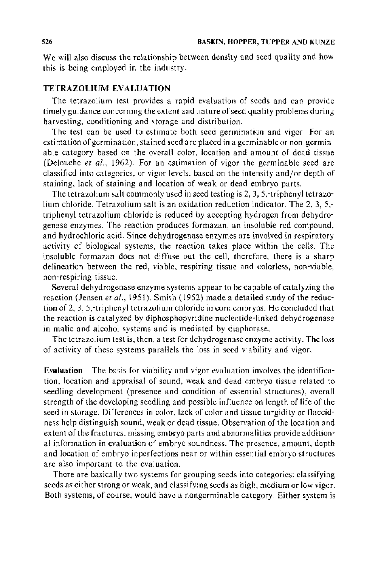We will also discuss the relationship between density and seed quality and how this is being employed in the industry.

## **TETRAZOLIUM EVALUATION**

The tetrazolium test provides a rapid evaluation of seeds and can provide timely guidance concerning the extent and nature of seed quality problems during harvesting, conditioning and storage and distribution.

The test can be used to estimate both seed germination and vigor. For an estimation of germination, stained seed are placed in a germinable or non-germinable category based on the overall color, location and amount of dead tissue (Delouche *et a/.,* 1962). For an estimation of vigor the germinable seed are classified into categories, or vigor levels, based on the intensity and/or depth of staining, lack of staining and location of weak or dead embryo parts.

The tetrazolium salt commonly used in seed testing is 2, 3, 5,-triphenyl tetrazolium chloride. Tetrazolium salt is an oxidation reduction indicator. The 2, 3, 5, triphenyl tetrazolium chloride is reduced by accepting hydrogen from dehydrogenase enzymes. The reaction produces formazan, an insoluble red compound, and hydrochloric acid. Since dehydrogenase enzymes are involved in respiratory activity of biological systems, the reaction takes place within the cells. The insoluble formazan does not diffuse out the cell, therefore, there is a sharp delineation between the red, viable, respiring tissue and colorless, non-viable, non-respiring tissue.

Several dehydrogenase enzyme systems appear to be capable of catalyzing the reaction (Jensen *et al.*, 1951). Smith (1952) made a detailed study of the reduction of 2, 3, 5,-triphenyl tetrazolium chloride in corn embryos. He concluded that the reaction is catalyzed by diphosphopyridine nucleotide-linked dehydrogenase in malic and alcohol systems and is mediated by diaphorase.

The tetrazolium test is, then, a test for dehydrogenase enzyme activity. The loss of activity of these systems parallels the loss in seed viability and vigor.

**Evaluation-**The basis for viability and vigor evaluation involves the identification, location and appraisal of sound, weak and dead embryo tissue related to seedling development (presence and condition of essential structures), overall strength of the developing seedling and possible influence on length of life of the seed in storage. Differences in color, lack of color and tissue turgidity or flaccidness help distinguish sound, weak or dead tissue. Observation of the location and extent of the fractures, missing embryo parts and abnormalities provide additional information in evaluation of embryo soundness. The presence, amount, depth and location of embryo inperfections near or within essential embryo structures are also important to the evaluation.

There are basically two systems for grouping seeds into categories: classifying seeds as either strong or weak, and classifying seeds as high, medium or low vigor. Both systems, of course, would have a nongerminable category. Either system is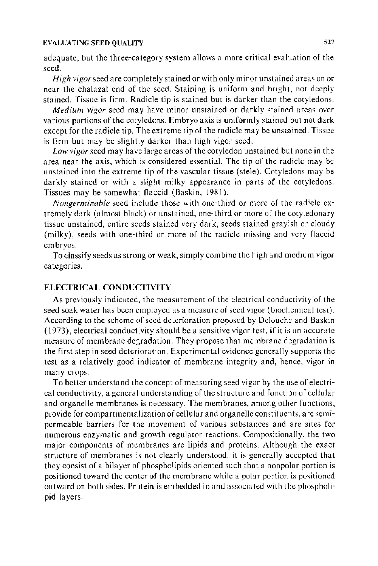#### EVALUATING SEED QUALITY **527**

adequate, but the three-category system allows a more critical evaluation of the seed.

*High vigor* seed are completely stained or with only minor unstained areas on or near the chalazal end of the seed. Staining is uniform and bright, not deeply stained. Tissue is firm. Radicle tip is stained but is darker than the cotyledons.

*Medium vigor* seed may have minor unstained or darkly stained areas over various portions of the cotyledons. Embryo axis is uniformly stained but not dark except for the radicle tip. The extreme tip of the radicle may be unstained. Tissue is firm but may be slightly darker than high vigor seed.

*Low vigor* seed may have large areas of the cotyledon unstained but none in the area near the axis, which is considered essential. The tip of the radicle may be unstained into the extreme tip of the vascular tissue (stele). Cotyledons may be darkly stained or with a slight milky appearance in parts of the cotyledons. Tissues may be somewhat flaccid (Baskin, 1981 ).

*Nongerminable* seed include those with one-third or more of the radicle extremely dark (almost black) or unstained, one-third or more of the cotyledonary tissue unstained, entire seeds stained very dark, seeds stained grayish or cloudy (milky), seeds with one-third or more of the radicle missing and very flaccid embryos.

To classify seeds as strong or weak, simply combine the high and medium vigor categories.

## **ELECTRICAL CONDUCTIVITY**

As previously indicated, the measurement of the electrical conductivity of the seed soak water has been employed as a measure of seed vigor (biochemical test). According to the scheme of seed deterioration proposed by Delouche and Baskin (1973), electrical conductivity should be a sensitive vigor test, if it is an accurate measure of membrane degradation. They propose that membrane degradation is the first step in seed deterioration. Experimental evidence generally supports the test as a relatively good indicator of membrane integrity and, hence, vigor in many crops.

To better understand the concept of measuring seed vigor by the use of electrical conductivity, a general understanding of the structure and function of cellular and organelle membranes is necessary. The membranes, among other functions, provide for compartmentalization of cellular and organelle constituents, are semipermeable barriers for the movement of various substances and are sites for numerous enzymatic and growth regulator reactions. Compositionally, the two major components of membranes are lipids and proteins. Although the exact structure of membranes is not clearly understood, it is generally accepted that they consist of a bilayer of phospholipids oriented such that a nonpolar portion is positioned toward the center of the membrane while a polar portion is positioned outward on both sides. Protein is embedded in and associated with the phospholipid layers.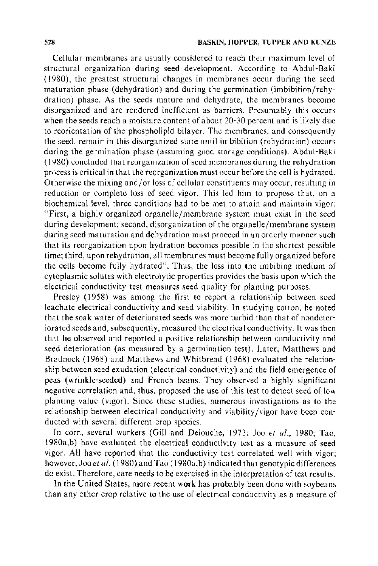Cellular membranes are usually considered to reach their maximum level of structural organization during seed development. According to Abdul-Baki ( 1980), the greatest structural changes in membranes occur during the seed maturation phase (dehydration) and during the germination (imbibition/rehydration) phase. As the seeds mature and dehydrate, the membranes become disorganized and are rendered inefficient as barriers. Presumably this occurs when the seeds reach a moisture content of about 20-30 percent and is likely due to reorientation of the phospholipid bilayer. The membranes, and consequently the seed, remain in this disorganized state until imbibition (rehydration) occurs during the germination phase (assuming good storage conditions). Abdul-Baki ( 1980) concluded that reorganization of seed membranes during the rehydration process is critical in that the reorganization must occur before the cell is hydrated. Otherwise the mixing and/or loss of cellular constituents may occur, resulting in reduction or complete loss of seed vigor. This led him to propose that, on a biochemical level, three conditions had to be met to attain and maintain vigor: "First, a highly organized organelle/membrane system must exist in the seed during development; second, disorganization of the organelle/ membrane system during seed maturation and dehydration must proceed in an orderly manner such that its reorganization upon hydration becomes possible in the shortest possible time; third, upon rehydration, all membranes must become fully organized before the cells become fully hydrated". Thus, the loss into the imbibing medium of cytoplasmic solutes with electrolytic properties provides the basis upon which the electrical conductivity test measures seed quality for planting purposes.

Presley (1958) was among the first to report a relationship between seed leachate electrical conductivity and seed viability. In studying cotton, he noted that the soak water of deteriorated seeds was more turbid than that of nondeteriorated seeds and, subsequently, measured the electrical conductivity. It was then that he observed and reported a positive relationship between conductivity and seed deterioration (as measured by a germination test). Later, Matthews and Bradnock (1968) and Matthews and Whitbread (1968) evaluated the relationship between seed exudation (electrical conductivity) and the field emergence of peas (wrinkle-seeded) and French beans. They observed a highly significant negative correlation and, thus, proposed the use of this test to detect seed of low planting value (vigor}. Since these studies, numerous investigations as to the relationship between electrical conductivity and viability /vigor have been conducted with several different crop species.

In corn, several workers (Gill and Delouche, 1973; Joo *et al.,* 1980; Tao, l980a,b) have evaluated the electrical conductivity test as a measure of seed vigor. All have reported that the conductivity test correlated well with vigor; however, Joo *et al.* ( 1980) and Tao ( 1980a,b) indicated that genotypic differences do exist. Therefore, care needs to be exercised in the interpretation of test results.

In the United States, more recent work has probably been done with soybeans than any other crop relative to the use of electrical conductivity as a measure of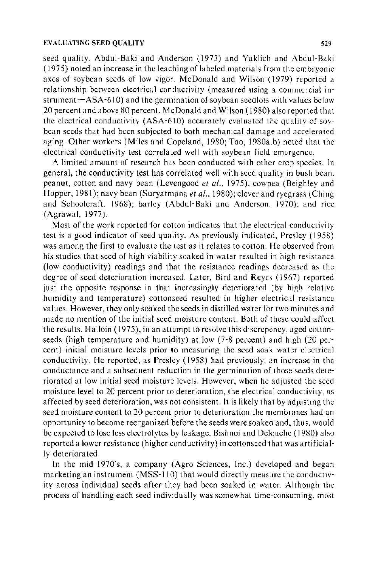#### EVALUATING SEED QUALITY 529

seed quality. Abdul-Baki and Anderson (1973) and Yaklich and Abdul-Baki ( 1975) noted an increase in the leaching of labeled materials from the embryonic axes of soybean seeds of low vigor. McDonald and Wilson ( 1979) reported a relationship between electrical conductivity (measured using a commercial instrument $-ASA-610$  and the germination of soybean seed lots with values below 20 percent and above 80 percent. McDonald and Wilson ( 1980) also reported that the electrical conductivity (ASA-610) accurately evaluated the quality of sovbean seeds that had been subjected to both mechanical damage and accelerated aging. Other workers (Miles and Copeland, 1980; Tao, 1980a.b) noted that the electrical conductivity test correlated well with soybean field emergence.

A limited amount of research has been conducted with other crop species. In general, the conductivity test has correlated well with seed quality in bush bean. peanut, cotton and navy bean (Levengood *et a!.,* 1975); cowpea (Beighley and Hopper, 1981); navy bean (Suryatmana *et al.*, 1980); clover and ryegrass (Ching and Schoolcraft, 1968); barley (Abdul- Baki and Anderson, 1970): and rice (Agrawal, 1977).

Most of the work reported for cotton indicates that the electrical conductivity test is a good indicator of seed quality. As previously indicated, Presley ( 1958) was among the first to evaluate the test as it relates to cotton. He observed from his studies that seed of high viability soaked in water resulted in high resistance (low conductivity) readings and that the resistance readings decreased as the degree of seed deterioration increased. Later, Bird and Reyes ( 1967) reported just the opposite response in that increasingly deteriorated (by high relative humidity and temperature) cottonseed resulted in higher electrical resistance values. However, they only soaked the seeds in distilled water for two minutes and made no mention of the initial seed moisture content. Both of these could affect the results. Halloin (1975), in an attempt to resolve this discrepency, aged cottonseeds (high temperature and humidity) at low (7-8 percent) and high (20 percent) initial moisture levels prior to measuring the seed soak water electrical conductivity. He reported, as Presley (1958) had previously, an increase in the conductance and a subsequent reduction in the germination of those seeds deteriorated at low initial seed moisture levels. However, when he adjusted the seed moisture level to 20 percent prior to deterioration, the electrical conductivity, as affected by seed deterioration, was not consistent. It is likely that by adjustmg the seed moisture content to 20 percent prior to deterioration the membranes had an opportunity to become reorganized before the seeds were soaked and, thus, would be expected to lose less electrolytes by leakage. Bishnoi and Delouche ( 1980) also reported a lower resistance (higher conductivity) in cottonseed that was artificially deteriorated.

In the mid-1970's, a company (Agro Sciences, Inc.) developed and began marketing an instrument (MSS-110) that would directly measure the conductivity across individual seeds after they had been soaked in water. Although the process of handling each seed individually was somewhat time-consuming. most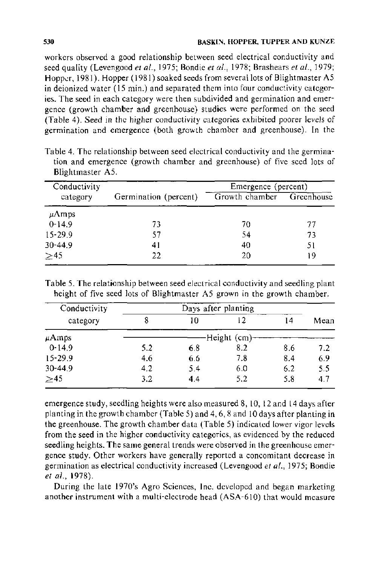workers observed a good relationship between seed electrical conductivity and seed quality (Levengood *et al.*, 1975; Bondie *et al.*, 1978; Brashears *et al.*, 1979; Hopper, 1981). Hopper (1981) soaked seeds from several lots of Blightmaster A5 in deionized water ( 15 min.) and separated them into four conductivity categories. The seed in each category were then subdivided and germination and emergence (growth chamber and greenhouse) studies were performed on the seed (Table 4). Seed in the higher conductivity categories exhibited poorer levels of germination and emergence (both growth chamber and greenhouse). In the

| Conductivity |                       | Emergence (percent)       |    |  |  |
|--------------|-----------------------|---------------------------|----|--|--|
| category     | Germination (percent) | Growth chamber Greenhouse |    |  |  |
| $\mu$ Amps   |                       |                           |    |  |  |
| $0-14.9$     | 73                    | 70                        | 77 |  |  |
| $15 - 29.9$  | 57                    | 54                        | 73 |  |  |
| $30 - 44.9$  | 41                    | 40                        | 51 |  |  |
| $\geq 45$    | 22                    | 20                        | 19 |  |  |

Table 4. The relationship between seed electrical conductivity and the germination and emergence (growth chamber and greenhouse) of five seed lots of Blightmaster *AS.* 

Table 5. The relationship between seed electrical conductivity and seedling plant height of five seed lots of Blightmaster *AS* grown in the growth chamber.

| Conductivity | Days after planting |     |                |     |      |
|--------------|---------------------|-----|----------------|-----|------|
| category     | 8                   | 10  | 12             | 14  | Mean |
| $\mu$ Amps   |                     |     | -Height (cm)-- |     |      |
| $0-14.9$     | 5.2                 | 6.3 | 8.2            | 8.6 | 7.2  |
| $15 - 29.9$  | 4.6                 | 6.6 | 7.8            | 8.4 | 6.9  |
| $30 - 44.9$  | 4.2                 | 5.4 | 6.0            | 6.2 | 5.5  |
| $\geq 45$    | 3.2                 | 4.4 | 5.2            | 5.8 | 4.7  |

emergence study, seedling heights were also measured 8, 10, 12 and 14 days after planting in the growth chamber (Table 5) and 4, 6, 8 and 10 days after planting in the greenhouse. The growth chamber data (Table 5) indicated lower vigor levels from the seed in the higher conductivity categories, as evidenced by the reduced seedling heights. The same general trends were observed in the greenhouse emergence study. Other workers have generally reported a concomitant decrease in germination as electrical conductivity increased (Levengood *et* at., 1975; Bondie *et* at., 1978).

During the late 1970's Agro Sciences, Inc. developed and began marketing another instrument with a multi-electrode head (ASA-610) that would measure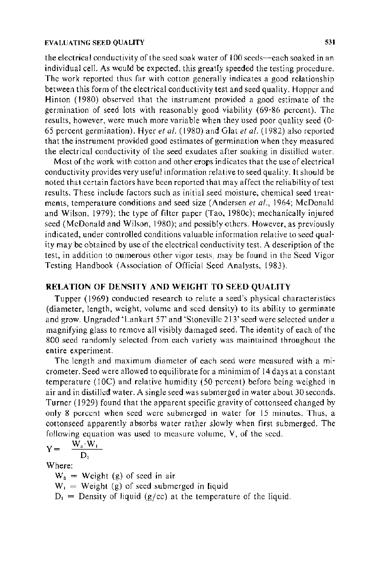#### EVALUATING SEED QUALITY 531

the electrical conductivity of the seed soak water of  $100$  seeds—each soaked in an individual cell. As would be expected. this greatly speeded the testing procedure. The work reported thus far with cotton generally indicates a good relationship between this form of the electrical conductivity test and seed quality. Hopper and Hinton (1980) observed that the instrument provided a good estimate of the germination of seed lots with reasonably good viability (69-86 percent). The results, however, were much more variable when they used poor quality seed (0- 65 percent germination). Hyer *eta/.* (1980) and Glat *eta/.* (1982) also reported that the instrument provided good estimates of germination when they measured the electrical conductivity of the seed exudates after soaking in distilled water.

Most of the work with cotton and other crops indicates that the use of electrical conductivity provides very useful information relative to seed quality. It should be noted that certain factors have been reported that may affect the reliability of test results. These include factors such as initial seed moisture, chemical seed treatments, temperature conditions and seed size (Andersen *et a/.,* 1964; McDonald and Wilson, 1979); the type of filter paper (Tao, 1980c); mechanically injured seed (McDonald and Wilson, 1980); and possibly others. However, as previously indicated, under controlled conditions valuable information relative to seed quality may be obtained by use of the electrical conductivity test. A description of the test, in addition to numerous other vigor tests, may be found in the Seed Vigor Testing Handbook (Association of Official Seed Analysts, 1983).

#### RELATION OF DENSITY AND WEIGHT TO SEED QUALITY

Tupper (1969) conducted research to relate a seed's physical characteristics (diameter, length, weight, volume and seed density) to its ability to germinate and grow. Ungraded 'Lankart 57' and 'Stoneville 213' seed were selected under a magnifying glass to remove all visibly damaged seed. The identity of each of the 800 seed randomly selected from each variety was maintained throughout the entire experiment.

The length and maximum diameter of each seed were measured with a micrometer. Seed were allowed to equilibrate for a minimim of 14 days at a constant temperature (IOC) and relative humidity (50 percent) before being weighed in air and in distilled water. A single seed was submerged in water about 30 seconds. Turner ( 1929) found that the apparent specific gravity of cottonseed changed by only 8 percent when seed were submerged in water for 15 minutes. Thus, a cottonseed apparently absorbs water rather slowly when first submerged. The following equation was used to measure volume, V, of the seed.

$$
Y = \frac{\overline{W}_a \cdot \overline{W}_1}{D_1}
$$

Where:

 $W_a$  = Weight (g) of seed in air  $W_1$  = Weight (g) of seed submerged in liquid  $D_1$  = Density of liquid (g/cc) at the temperature of the liquid.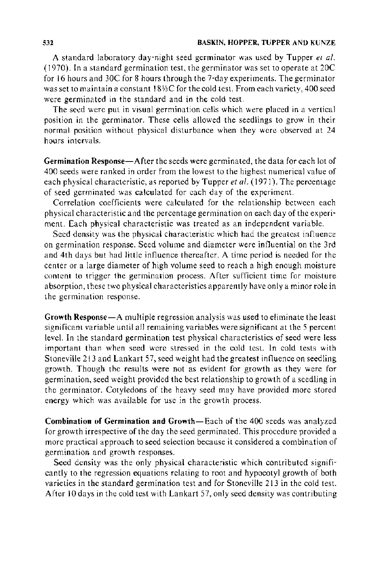A standard laboratory day-night seed germinator was used by Tupper *et a/.*  ( 1970). In a standard germination test, the germinator was set to operate at 20C for 16 hours and 30C for 8 hours through the 7-day experiments. The germinator was set to maintain a constant 18%C for the cold test. From each variety, 400 seed were germinated in the standard and in the cold test.

The seed were put in visual germination cells which were placed in a vertical position in the germinator. These cells allowed the seedlings to grow in their normal position without physical disturbance when they were observed at 24 hours intervals.

Germination Response-After the seeds were germinated, the data for each lot of 400 seeds were ranked in order from the lowest to the highest numerical value of each physical characteristic, as reported by Tupper *et al.* ( 1971 ). The percentage of seed germinated was calculated for each day of the experiment.

Correlation coefficients were calculated for the relationship between each physical characteristic and the percentage germination on each day of the experiment. Each physical characteristic was treated as an independent variable.

Seed density was the physical characteristic which had the greatest influence on germination response. Seed volume and diameter were influential on the 3rd and 4th days but had little influence thereafter. A time period is needed for the center or a large diameter of high volume seed to reach a high enough moisture content to trigger the germination process. After sufficient time for moisture absorption, these two physical characteristics apparently have only a minor role in the germination response.

Growth Response-A multiple regression analysis was used to eliminate the least significant variable until all remaining variables were significant at the 5 percent level. In the standard germination test physical characteristics of seed were less important than when seed were stressed in the cold test. In cold tests with Stoneville 213 and Lankart 57, seed weight had the greatest influence on seedling growth. Though the results were not as evident for growth as they were for germination, seed weight provided the best relationship to growth of a seedling in the germinator. Cotyledons of the heavy seed may have provided more stored energy which was available for use in the growth process.

Combination of Germination and Growth-Each of the 400 seeds was analyzed for growth irrespective of the day the seed germinated. This procedure provided a more practical approach to seed selection because it considered a combination of germination and growth responses.

Seed density was the only physical characteristic which contributed signifi· cantly to the regression equations relating to root and hypocotyl growth of both varieties in the standard germination test and for Stoneville 213 in the cold test. After I 0 days in the cold test with Lankart 57, only seed density was contributing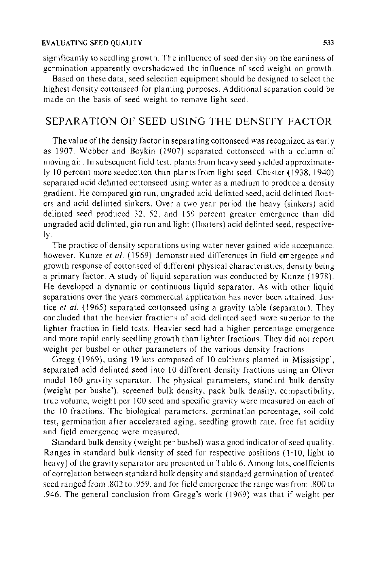significantly to seedling growth. The influence of seed density on the earliness of germination apparently overshadowed the influence of seed weight on growth.

Based on these data, seed selection equipment should be designed to select the highest density cottonseed for planting purposes. Additional separation could be made on the basis of seed weight to remove light seed.

# SEPARATION OF SEED USING THE DENSITY FACTOR

The value of the density factor in separating cottonseed was recognized as early as 1907. Webber and Boykin (1907) separated cottonseed with a column of moving air. In subsequent field test, plants from heavy seed yielded approximately 10 percent more seedcotton than plants from light seed. Chester (1938, 1940) separated acid delinted cottonseed using water as a medium to produce a density gradient. He compared gin run, ungraded acid delinted seed, acid delinted floaters and acid delinted sinkers. Over a two year period the heavy (sinkers) acid delinted seed produced 32, 52, and !59 percent greater emergence than did ungraded acid delinted, gin run and light (floaters) acid delinted seed, respectively.

The practice of density separations using water never gained wide acceptance. however. Kunze *et al.* (1969) demonstrated differences in field emergence and growth response of cottonseed of different physical characteristics, density being a primary factor. A study of liquid separation was conducted by Kunze ( 1978). He developed a dynamic or continuous liquid separator. As with other liquid separations over the years commercial application has never been attained. Justice *et al.* (1965) separated cottonseed using a gravity table (separator). They concluded that the heavier fractions of acid delinted seed were superior to the lighter fraction in field tests. Heavier seed had a higher percentage emergence and more rapid early seedling growth than lighter fractions. They did not report weight per bushel or other parameters of the various density fractions.

Gregg (1969), using 19 lots composed of 10 cultivars planted in Mississippi, separated acid delinted seed into 10 different density fractions using an Oliver model 160 gravity separator. The physical parameters, standard bulk density (weight per bushel), screened bulk density, pack bulk density, compactibdity, true volume, weight per I 00 seed and specific gravity were measured on each of the 10 fractions. The biological parameters, germination percentage, soil cold test, germination after accelerated aging, seedling growth rate. free fat acidity and field emergence were measured.

Standard bulk density (weight per bushel) was a good indicator of seed quality. Ranges in standard bulk density of seed for respective positions ( 1-10, light to heavy) of the gravity separator are presented in Table 6. Among lots, coefficients of correlation between standard bulk density and standard germination of treated seed ranged from .802 to .959. and for field emergence the range was from .800 to .946. The general conclusion from Gregg's work (1969) was that if weight per